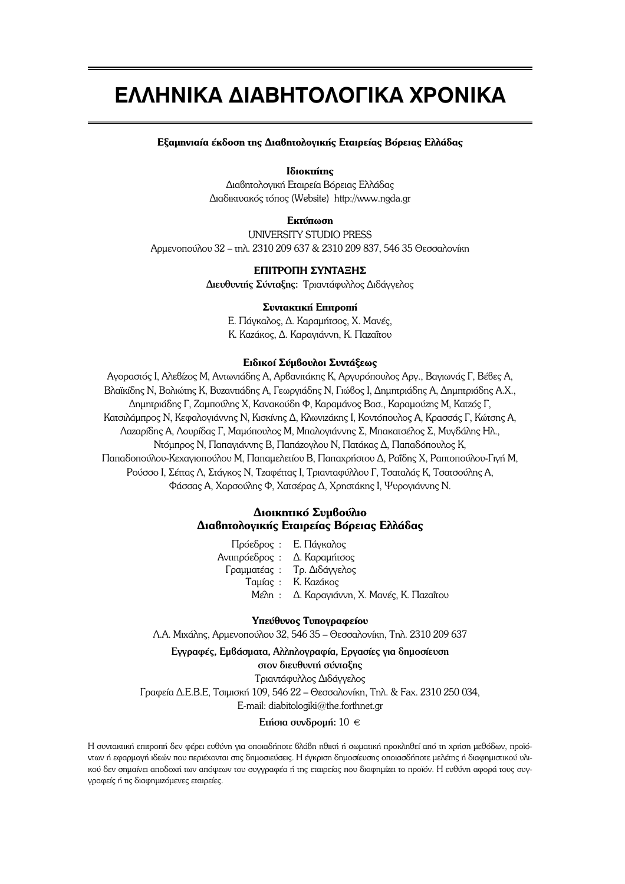# **EAAHNIKA AIABHTOAOFIKA XPONIKA**

## **Εξαμηνιαία έκδοση της Διαβητολογικής Εταιρείας Βόρειας Ελλάδας**

# **Ιδιοκτήτης**

Διαβητολογική Εταιρεία Βόρειας Ελλάδας  $Δ$ ιαδικτυακός τόπος (Website) http://www.ngda.gr

## **Eκτύπωση**

UNIVERSITY STUDIO PRESS Aρμενοπούλου 32 – τηλ. 2310 209 637 & 2310 209 837, 546 35 Θεσσαλονίκη

# **ΕΠΙΤΡΟΠΗ ΣΥΝΤΑΞΗΣ**

Διευθυντής Σύνταξης: Τριαντάφυλλος Διδάγγελος

### Συντακτική Επιτροπή

Ε. Πάγκαλος, Δ. Καραμήτσος, Χ. Μανές, K. Kazáκoς, Δ. Kapaγιάννn, K. Παzaΐτου

## **Ειδικοί Σύμβουλοι Συντάξεως**

Aγοραστός I, Aλεβίzoς M, Aντωνιάδης A, Aρβανιτάκης K, Aργυρόπουλος Aργ., Bαγιωνάς Γ, Βέβες A, Bλαϊκίδης N, Boλιώτης K, Bυzαντιάδης A, Γεωργιάδης N, Γιώβος I, Δημητριάδης A, Δημητριάδης A.X., Δημητριάδης Γ, Ζαμπούλης Χ, Κανακούδη Φ, Καραμάνος Βασ., Καραμούzης Μ, Κατzός Γ, Kατσιλάμπρος N, Kεφαλογιάννης N, Kισκίνης Δ, Kλωνιzάκης I, Kοντόπουλος A, Kρασσάς Γ, Kώτσης A, Λαzαρίδης Α, Λουρίδας Γ, Μαμόπουλος Μ, Μπαλογιάννης Σ, Μπακατσέλος Σ, Μυγδάλης Ηλ., Ντόμπρος Ν, Παπαγιάννης Β, Παπάzογλου Ν, Πατάκας Δ, Παπαδόπουλος Κ, Παπαδοπούλου-Κεχαγιοπούλου Μ, Παπαμελετίου Β, Παπαχρήστου Δ, Ραΐδης Χ, Ραπτοπούλου-Γιγή Μ, Pούσσο I, Σέπας Λ, Στάγκος Ν, Τzαφέπας I, Τριανταφύλλου Γ, Τσαταλάς Κ, Τσατσούλης Α, Φάσσας Α, Χαρσούλης Φ, Χατσέρας Δ, Χρηστάκης Ι, Ψυρογιάννης Ν.

# **Διοικητικό Συμβούλιο**  $\Delta$ ιαβητολογικής Εταιρείας Βόρειας Ελλάδας

|                              | Πρόεδρος : Ε. Πάγκαλος                     |
|------------------------------|--------------------------------------------|
| Αντιπρόεδρος : Δ. Καραμήτσος |                                            |
|                              | Γραμματέας: Τρ. Διδάγγελος                 |
|                              | Ταμίας: Κ. Καεάκος                         |
|                              | Mέλη: Δ. Καραγιάννη, Χ. Μανές, Κ. Παzαΐτου |
|                              |                                            |

### Υπεύθυνος Τυπογραφείου

Λ.Α. Μιχάλης, Αρμενοπούλου 32, 546 35 – Θεσσαλονίκη, Τηλ. 2310 209 637

# Eγγραφές, Euβάσματα, Aλληλογραφία, Eργασίες για δημοσίευση

στον διευθυντή σύνταξης

Τριαντάφυλλος Διδάγγελος

Графеіа Д.Е.В.Е, Тоциоки 109, 546 22 – Өвооалоvікп, Тпл. & Fax. 2310 250 034,

E-mail: diabitologiki@the.forthnet.gr

## Eτήσια συνδρομή:  $10 \in$

Η συντακτική επιτροπή δεν φέρει ευθύνη για οποιαδήποτε βλάβη ηθική ή σωματική προκληθεί από τη χρήση μεθόδων, προϊόντων ή εφαρμονή ιδεών που περιέχονται στις δημοσιεύσεις. Η ένκριση δημοσίευσης οποιασδήποτε μελέτης ή διαφημιστικού υλικού δεν σημαίνει αποδοχή των απόψεων του συγγραφέα ή της εταιρείας που διαφημίzει το προϊόν. Η ευθύνη αφορά τους συγ γραφείς ή τις διαφημιzόμενες εταιρείες.